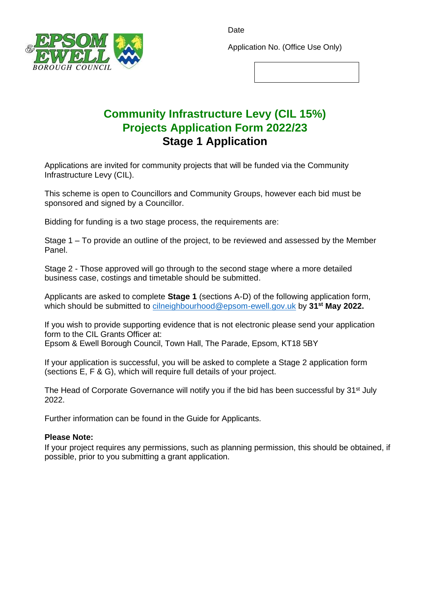

Application No. (Office Use Only)



## **Community Infrastructure Levy (CIL 15%) Projects Application Form 2022/23 Stage 1 Application**

Applications are invited for community projects that will be funded via the Community Infrastructure Levy (CIL).

This scheme is open to Councillors and Community Groups, however each bid must be sponsored and signed by a Councillor.

Bidding for funding is a two stage process, the requirements are:

Stage 1 – To provide an outline of the project, to be reviewed and assessed by the Member Panel.

Stage 2 - Those approved will go through to the second stage where a more detailed business case, costings and timetable should be submitted.

Applicants are asked to complete **Stage 1** (sections A-D) of the following application form, which should be submitted to [cilneighbourhood@epsom-ewell.gov.uk](mailto:cilneighbourhood@epsom-ewell.gov.uk) by **31 st May 2022.**

If you wish to provide supporting evidence that is not electronic please send your application form to the CIL Grants Officer at:

Epsom & Ewell Borough Council, Town Hall, The Parade, Epsom, KT18 5BY

If your application is successful, you will be asked to complete a Stage 2 application form (sections E, F & G), which will require full details of your project.

The Head of Corporate Governance will notify you if the bid has been successful by 31<sup>st</sup> July 2022.

Further information can be found in the Guide for Applicants.

## **Please Note:**

If your project requires any permissions, such as planning permission, this should be obtained, if possible, prior to you submitting a grant application.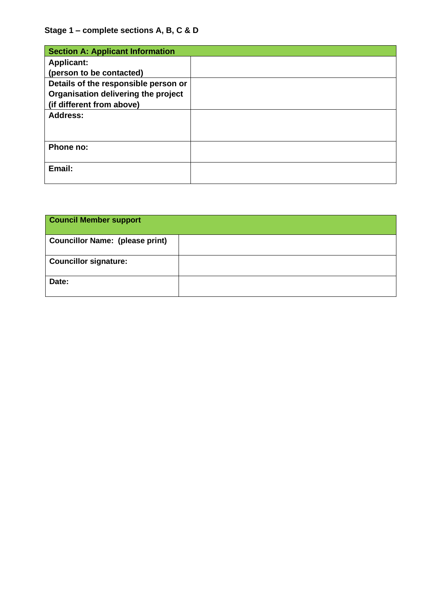| <b>Section A: Applicant Information</b> |  |
|-----------------------------------------|--|
| <b>Applicant:</b>                       |  |
| (person to be contacted)                |  |
| Details of the responsible person or    |  |
| Organisation delivering the project     |  |
| (if different from above)               |  |
| <b>Address:</b>                         |  |
|                                         |  |
|                                         |  |
| Phone no:                               |  |
|                                         |  |
| Email:                                  |  |
|                                         |  |

| <b>Council Member support</b>          |  |
|----------------------------------------|--|
| <b>Councillor Name: (please print)</b> |  |
| <b>Councillor signature:</b>           |  |
| Date:                                  |  |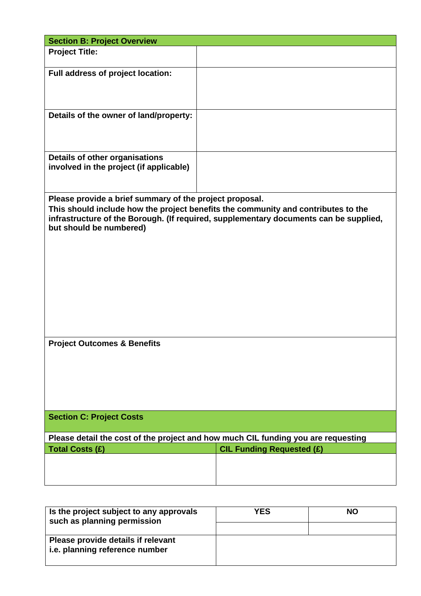| <b>Section B: Project Overview</b>                      |                                                                                       |  |  |
|---------------------------------------------------------|---------------------------------------------------------------------------------------|--|--|
| <b>Project Title:</b>                                   |                                                                                       |  |  |
|                                                         |                                                                                       |  |  |
| Full address of project location:                       |                                                                                       |  |  |
|                                                         |                                                                                       |  |  |
|                                                         |                                                                                       |  |  |
|                                                         |                                                                                       |  |  |
|                                                         |                                                                                       |  |  |
| Details of the owner of land/property:                  |                                                                                       |  |  |
|                                                         |                                                                                       |  |  |
|                                                         |                                                                                       |  |  |
|                                                         |                                                                                       |  |  |
| Details of other organisations                          |                                                                                       |  |  |
| involved in the project (if applicable)                 |                                                                                       |  |  |
|                                                         |                                                                                       |  |  |
|                                                         |                                                                                       |  |  |
|                                                         |                                                                                       |  |  |
| Please provide a brief summary of the project proposal. |                                                                                       |  |  |
|                                                         | This should include how the project benefits the community and contributes to the     |  |  |
|                                                         | infrastructure of the Borough. (If required, supplementary documents can be supplied, |  |  |
| but should be numbered)                                 |                                                                                       |  |  |
|                                                         |                                                                                       |  |  |
|                                                         |                                                                                       |  |  |
|                                                         |                                                                                       |  |  |
|                                                         |                                                                                       |  |  |
|                                                         |                                                                                       |  |  |
|                                                         |                                                                                       |  |  |
|                                                         |                                                                                       |  |  |
|                                                         |                                                                                       |  |  |
|                                                         |                                                                                       |  |  |
|                                                         |                                                                                       |  |  |
|                                                         |                                                                                       |  |  |
|                                                         |                                                                                       |  |  |
| <b>Project Outcomes &amp; Benefits</b>                  |                                                                                       |  |  |
|                                                         |                                                                                       |  |  |
|                                                         |                                                                                       |  |  |
|                                                         |                                                                                       |  |  |
|                                                         |                                                                                       |  |  |
|                                                         |                                                                                       |  |  |
|                                                         |                                                                                       |  |  |
|                                                         |                                                                                       |  |  |
| <b>Section C: Project Costs</b>                         |                                                                                       |  |  |
|                                                         |                                                                                       |  |  |
|                                                         | Please detail the cost of the project and how much CIL funding you are requesting     |  |  |
| <b>Total Costs (£)</b>                                  | <b>CIL Funding Requested (£)</b>                                                      |  |  |
|                                                         |                                                                                       |  |  |
|                                                         |                                                                                       |  |  |
|                                                         |                                                                                       |  |  |
|                                                         |                                                                                       |  |  |

| Is the project subject to any approvals<br>such as planning permission | <b>YES</b> | <b>NO</b> |
|------------------------------------------------------------------------|------------|-----------|
|                                                                        |            |           |
| Please provide details if relevant<br>i.e. planning reference number   |            |           |
|                                                                        |            |           |